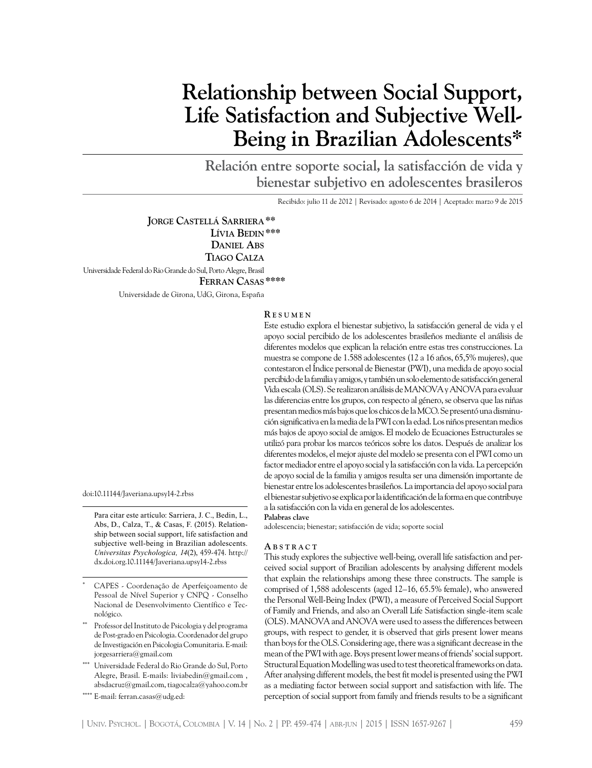# **Relationship between Social Support, Life Satisfaction and Subjective Well-Being in Brazilian Adolescents\***

**Relación entre soporte social, la satisfacción de vida y bienestar subjetivo en adolescentes brasileros**

Recibido: julio 11 de 2012 | Revisado: agosto 6 de 2014 | Aceptado: marzo 9 de 2015

## **Jorge Castellá Sarriera\*\* Lívia Bedin\*\*\***

 **Daniel Abs**

 **Tiago Calza**

Universidade Federal do Rio Grande do Sul, Porto Alegre, Brasil

## **Ferran Casas\*\*\*\***

Universidade de Girona, UdG, Girona, España

## **R e s u m e n**

diferentes modelos que explican la relación entre estas tres construcciones. La muestra se compone de 1.588 adolescentes (12 a 16 años, 65,5% mujeres), que contestaron el Índice personal de Bienestar (PWI), una medida de apoyo social percibido de la familia y amigos, y también un solo elemento de satisfacción general Vida escala (OLS). Se realizaron análisis de MANOVA y ANOVA para evaluar las diferencias entre los grupos, con respecto al género, se observa que las niñas presentan medios más bajos que los chicos de la MCO. Se presentó una disminución significativa en la media de la PWI con la edad. Los niños presentan medios más bajos de apoyo social de amigos. El modelo de Ecuaciones Estructurales se utilizó para probar los marcos teóricos sobre los datos. Después de analizar los diferentes modelos, el mejor ajuste del modelo se presenta con el PWI como un factor mediador entre el apoyo social y la satisfacción con la vida. La percepción de apoyo social de la familia y amigos resulta ser una dimensión importante de bienestar entre los adolescentes brasileños. La importancia del apoyo social para el bienestar subjetivo se explica por la identificación de la forma en que contribuye a la satisfacción con la vida en general de los adolescentes.

Este estudio explora el bienestar subjetivo, la satisfacción general de vida y el apoyo social percibido de los adolescentes brasileños mediante el análisis de

**Palabras clave**

adolescencia; bienestar; satisfacción de vida; soporte social

#### **A b s t r a c t**

This study explores the subjective well-being, overall life satisfaction and perceived social support of Brazilian adolescents by analysing different models that explain the relationships among these three constructs. The sample is comprised of 1,588 adolescents (aged 12–16, 65.5% female), who answered the Personal Well-Being Index (PWI), a measure of Perceived Social Support of Family and Friends, and also an Overall Life Satisfaction single-item scale (OLS). MANOVA and ANOVA were used to assess the differences between groups, with respect to gender, it is observed that girls present lower means than boys for the OLS. Considering age, there was a significant decrease in the mean of the PWI with age. Boys present lower means of friends' social support. Structural Equation Modelling was used to test theoretical frameworks on data. After analysing different models, the best fit model is presented using the PWI as a mediating factor between social support and satisfaction with life. The perception of social support from family and friends results to be a significant

#### doi:10.11144/Javeriana.upsy14-2.rbss

Para citar este artículo: Sarriera, J. C., Bedin, L., Abs, D., Calza, T., & Casas, F. (2015). Relationship between social support, life satisfaction and subjective well-being in Brazilian adolescents. *Universitas Psychologica, 14*(2), 459-474. http:// dx.doi.org.10.11144/Javeriana.upsy14-2.rbss

- CAPES Coordenação de Aperfeiçoamento de Pessoal de Nível Superior y CNPQ - Conselho Nacional de Desenvolvimento Científico e Tecnológico.
- Professor del Instituto de Psicologia y del programa de Post-grado en Psicologia. Coordenador del grupo de Investigación en Psicologia Comunitaria. E-mail: jorgesarriera@gmail.com
- \*\*\* Universidade Federal do Rio Grande do Sul, Porto Alegre, Brasil. E-mails: [liviabedin@gmail.com](mailto:liviabedin@gmail.com) , [absdacruz@gmail.com](mailto:absdacruz@gmail.com), [tiagocalza@yahoo.com.br](mailto:tiagocalza@yahoo.com.br)
- \*\*\*\* E-mail: ferran.casas@udg.ed: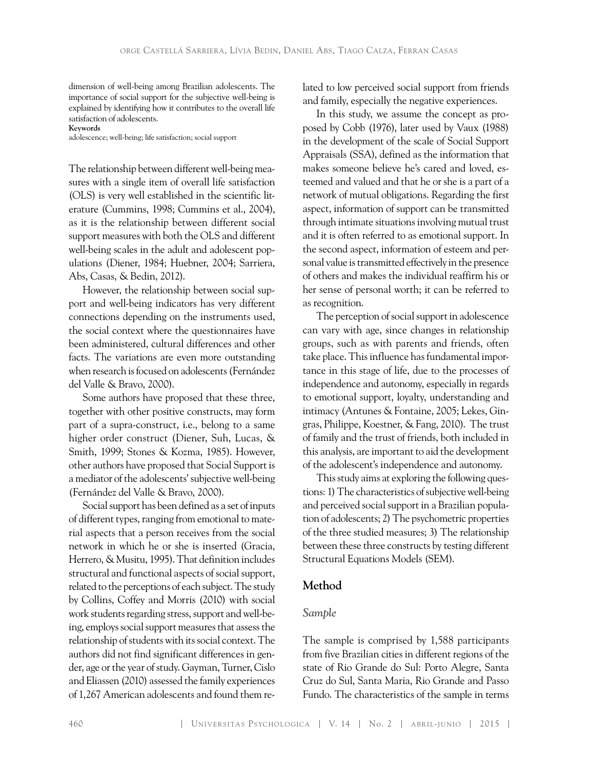dimension of well-being among Brazilian adolescents. The importance of social support for the subjective well-being is explained by identifying how it contributes to the overall life satisfaction of adolescents.

**Keywords**

adolescence; well-being; life satisfaction; social support

The relationship between different well-being measures with a single item of overall life satisfaction (OLS) is very well established in the scientific literature (Cummins, 1998; Cummins et al., 2004), as it is the relationship between different social support measures with both the OLS and different well-being scales in the adult and adolescent populations (Diener, 1984; Huebner, 2004; Sarriera, Abs, Casas, & Bedin, 2012).

However, the relationship between social support and well-being indicators has very different connections depending on the instruments used, the social context where the questionnaires have been administered, cultural differences and other facts. The variations are even more outstanding when research is focused on adolescents (Fernández del Valle & Bravo, 2000).

Some authors have proposed that these three, together with other positive constructs, may form part of a supra-construct, i.e., belong to a same higher order construct (Diener, Suh, Lucas, & Smith, 1999; Stones & Kozma, 1985). However, other authors have proposed that Social Support is a mediator of the adolescents' subjective well-being (Fernández del Valle & Bravo, 2000).

Social support has been defined as a set of inputs of different types, ranging from emotional to material aspects that a person receives from the social network in which he or she is inserted (Gracia, Herrero, & Musitu, 1995). That definition includes structural and functional aspects of social support, related to the perceptions of each subject. The study by Collins, Coffey and Morris (2010) with social work students regarding stress, support and well-being, employs social support measures that assess the relationship of students with its social context. The authors did not find significant differences in gender, age or the year of study. Gayman, Turner, Cislo and Eliassen (2010) assessed the family experiences of 1,267 American adolescents and found them related to low perceived social support from friends and family, especially the negative experiences.

In this study, we assume the concept as proposed by Cobb (1976), later used by Vaux (1988) in the development of the scale of Social Support Appraisals (SSA), defined as the information that makes someone believe he's cared and loved, esteemed and valued and that he or she is a part of a network of mutual obligations. Regarding the first aspect, information of support can be transmitted through intimate situations involving mutual trust and it is often referred to as emotional support. In the second aspect, information of esteem and personal value is transmitted effectively in the presence of others and makes the individual reaffirm his or her sense of personal worth; it can be referred to as recognition.

The perception of social support in adolescence can vary with age, since changes in relationship groups, such as with parents and friends, often take place. This influence has fundamental importance in this stage of life, due to the processes of independence and autonomy, especially in regards to emotional support, loyalty, understanding and intimacy (Antunes & Fontaine, 2005; Lekes, Gingras, Philippe, Koestner, & Fang, 2010). The trust of family and the trust of friends, both included in this analysis, are important to aid the development of the adolescent's independence and autonomy.

This study aims at exploring the following questions: 1) The characteristics of subjective well-being and perceived social support in a Brazilian population of adolescents; 2) The psychometric properties of the three studied measures; 3) The relationship between these three constructs by testing different Structural Equations Models (SEM).

# **Method**

# *Sample*

The sample is comprised by 1,588 participants from five Brazilian cities in different regions of the state of Rio Grande do Sul: Porto Alegre, Santa Cruz do Sul, Santa Maria, Rio Grande and Passo Fundo. The characteristics of the sample in terms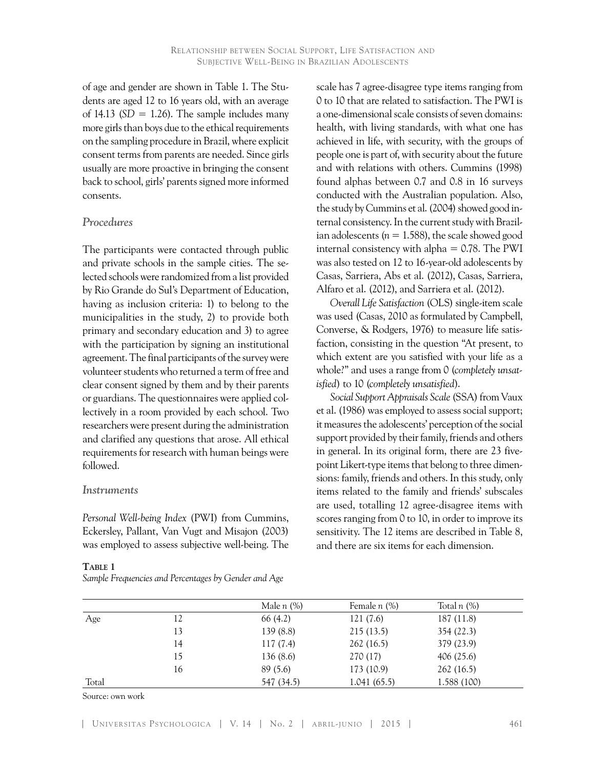of age and gender are shown in Table 1. The Students are aged 12 to 16 years old, with an average of 14.13 ( $SD = 1.26$ ). The sample includes many more girls than boys due to the ethical requirements on the sampling procedure in Brazil, where explicit consent terms from parents are needed. Since girls usually are more proactive in bringing the consent back to school, girls' parents signed more informed consents.

# *Procedures*

The participants were contacted through public and private schools in the sample cities. The selected schools were randomized from a list provided by Rio Grande do Sul's Department of Education, having as inclusion criteria: 1) to belong to the municipalities in the study, 2) to provide both primary and secondary education and 3) to agree with the participation by signing an institutional agreement. The final participants of the survey were volunteer students who returned a term of free and clear consent signed by them and by their parents or guardians. The questionnaires were applied collectively in a room provided by each school. Two researchers were present during the administration and clarified any questions that arose. All ethical requirements for research with human beings were followed.

# *Instruments*

*Personal Well-being Index* (PWI) from Cummins, Eckersley, Pallant, Van Vugt and Misajon (2003) was employed to assess subjective well-being. The

## **Table 1**

*Sample Frequencies and Percentages by Gender and Age*

scale has 7 agree-disagree type items ranging from 0 to 10 that are related to satisfaction. The PWI is a one-dimensional scale consists of seven domains: health, with living standards, with what one has achieved in life, with security, with the groups of people one is part of, with security about the future and with relations with others. Cummins (1998) found alphas between 0.7 and 0.8 in 16 surveys conducted with the Australian population. Also, the study by Cummins et al. (2004) showed good internal consistency. In the current study with Brazilian adolescents ( $n = 1.588$ ), the scale showed good internal consistency with alpha  $= 0.78$ . The PWI was also tested on 12 to 16-year-old adolescents by Casas, Sarriera, Abs et al. (2012), Casas, Sarriera, Alfaro et al. (2012), and Sarriera et al. (2012).

*Overall Life Satisfaction* (OLS) single-item scale was used (Casas, 2010 as formulated by Campbell, Converse, & Rodgers, 1976) to measure life satisfaction, consisting in the question "At present, to which extent are you satisfied with your life as a whole?" and uses a range from 0 (*completely unsatisfied*) to 10 (*completely unsatisfied*).

*Social Support Appraisals Scale* (SSA) from Vaux et al. (1986) was employed to assess social support; it measures the adolescents' perception of the social support provided by their family, friends and others in general. In its original form, there are 23 fivepoint Likert-type items that belong to three dimensions: family, friends and others. In this study, only items related to the family and friends' subscales are used, totalling 12 agree-disagree items with scores ranging from 0 to 10, in order to improve its sensitivity. The 12 items are described in Table 8, and there are six items for each dimension.

|       |    | Male $n$ $(\%)$ | Female $n$ $(\%)$ | Total $n$ $(\%)$ |
|-------|----|-----------------|-------------------|------------------|
| Age   | 12 | 66 (4.2)        | 121(7.6)          | 187 (11.8)       |
|       | 13 | 139(8.8)        | 215(13.5)         | 354 (22.3)       |
|       | 14 | 117(7.4)        | 262(16.5)         | 379 (23.9)       |
|       | 15 | 136(8.6)        | 270 (17)          | 406(25.6)        |
|       | 16 | 89 (5.6)        | 173 (10.9)        | 262(16.5)        |
| Total |    | 547 (34.5)      | 1.041(65.5)       | 1.588 (100)      |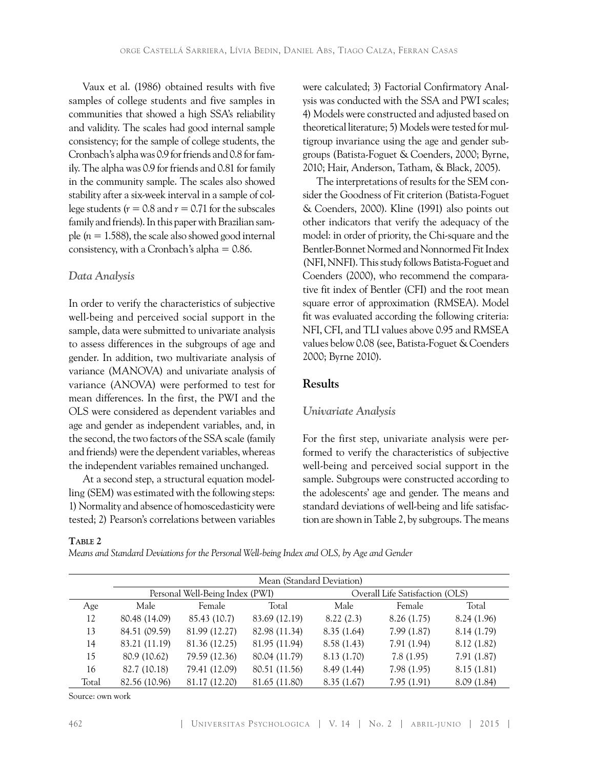Vaux et al. (1986) obtained results with five samples of college students and five samples in communities that showed a high SSA's reliability and validity. The scales had good internal sample consistency; for the sample of college students, the Cronbach's alpha was 0.9 for friends and 0.8 for family. The alpha was 0.9 for friends and 0.81 for family in the community sample. The scales also showed stability after a six-week interval in a sample of college students ( $r = 0.8$  and  $r = 0.71$  for the subscales family and friends). In this paper with Brazilian sample  $(n = 1.588)$ , the scale also showed good internal consistency, with a Cronbach's alpha  $= 0.86$ .

# *Data Analysis*

In order to verify the characteristics of subjective well-being and perceived social support in the sample, data were submitted to univariate analysis to assess differences in the subgroups of age and gender. In addition, two multivariate analysis of variance (MANOVA) and univariate analysis of variance (ANOVA) were performed to test for mean differences. In the first, the PWI and the OLS were considered as dependent variables and age and gender as independent variables, and, in the second, the two factors of the SSA scale (family and friends) were the dependent variables, whereas the independent variables remained unchanged.

At a second step, a structural equation modelling (SEM) was estimated with the following steps: 1) Normality and absence of homoscedasticity were tested; 2) Pearson's correlations between variables

were calculated; 3) Factorial Confirmatory Analysis was conducted with the SSA and PWI scales; 4) Models were constructed and adjusted based on theoretical literature; 5) Models were tested for multigroup invariance using the age and gender subgroups (Batista-Foguet & Coenders, 2000; Byrne, 2010; Hair, Anderson, Tatham, & Black, 2005).

The interpretations of results for the SEM consider the Goodness of Fit criterion (Batista-Foguet & Coenders, 2000). Kline (1991) also points out other indicators that verify the adequacy of the model: in order of priority, the Chi-square and the Bentler-Bonnet Normed and Nonnormed Fit Index (NFI, NNFI). This study follows Batista-Foguet and Coenders (2000), who recommend the comparative fit index of Bentler (CFI) and the root mean square error of approximation (RMSEA). Model fit was evaluated according the following criteria: NFI, CFI, and TLI values above 0.95 and RMSEA values below 0.08 (see, Batista-Foguet & Coenders 2000; Byrne 2010).

# **Results**

# *Univariate Analysis*

For the first step, univariate analysis were performed to verify the characteristics of subjective well-being and perceived social support in the sample. Subgroups were constructed according to the adolescents' age and gender. The means and standard deviations of well-being and life satisfaction are shown in Table 2, by subgroups. The means

## **Table 2**

*Means and Standard Deviations for the Personal Well-being Index and OLS, by Age and Gender*

|       | Mean (Standard Deviation) |                                 |               |             |                                 |            |  |  |
|-------|---------------------------|---------------------------------|---------------|-------------|---------------------------------|------------|--|--|
|       |                           | Personal Well-Being Index (PWI) |               |             | Overall Life Satisfaction (OLS) |            |  |  |
| Age   | Male                      | Female                          | Total         | Male        | Female                          | Total      |  |  |
| 12    | 80.48 (14.09)             | 85.43 (10.7)                    | 83.69 (12.19) | 8.22(2.3)   | 8.26(1.75)                      | 8.24(1.96) |  |  |
| 13    | 84.51 (09.59)             | 81.99 (12.27)                   | 82.98 (11.34) | 8.35(1.64)  | 7.99(1.87)                      | 8.14(1.79) |  |  |
| 14    | 83.21 (11.19)             | 81.36 (12.25)                   | 81.95 (11.94) | 8.58(1.43)  | 7.91(1.94)                      | 8.12(1.82) |  |  |
| 15    | 80.9 (10.62)              | 79.59 (12.36)                   | 80.04 (11.79) | 8.13 (1.70) | 7.8(1.95)                       | 7.91(1.87) |  |  |
| 16    | 82.7 (10.18)              | 79.41 (12.09)                   | 80.51 (11.56) | 8.49(1.44)  | 7.98(1.95)                      | 8.15(1.81) |  |  |
| Total | 82.56 (10.96)             | 81.17 (12.20)                   | 81.65 (11.80) | 8.35(1.67)  | 7.95(1.91)                      | 8.09(1.84) |  |  |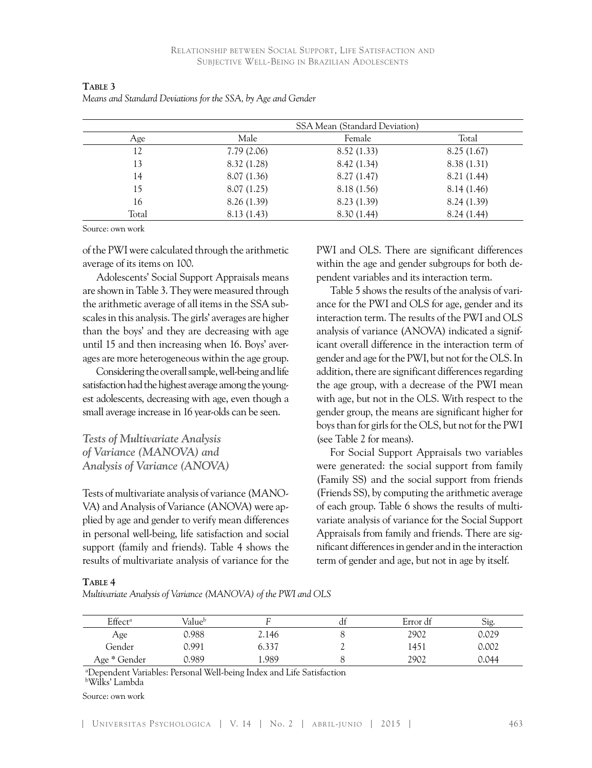|       |             | SSA Mean (Standard Deviation) |             |
|-------|-------------|-------------------------------|-------------|
| Age   | Male        | Female                        | Total       |
| 12    | 7.79(2.06)  | 8.52(1.33)                    | 8.25(1.67)  |
| 13    | 8.32 (1.28) | 8.42(1.34)                    | 8.38(1.31)  |
| 14    | 8.07(1.36)  | 8.27(1.47)                    | 8.21 (1.44) |
| 15    | 8.07(1.25)  | 8.18(1.56)                    | 8.14(1.46)  |
| 16    | 8.26(1.39)  | 8.23(1.39)                    | 8.24(1.39)  |
| Total | 8.13(1.43)  | 8.30(1.44)                    | 8.24(1.44)  |

**Table 3** *Means and Standard Deviations for the SSA, by Age and Gender*

Source: own work

of the PWI were calculated through the arithmetic average of its items on 100.

Adolescents' Social Support Appraisals means are shown in Table 3. They were measured through the arithmetic average of all items in the SSA subscales in this analysis. The girls' averages are higher than the boys' and they are decreasing with age until 15 and then increasing when 16. Boys' averages are more heterogeneous within the age group.

Considering the overall sample, well-being and life satisfaction had the highest average among the youngest adolescents, decreasing with age, even though a small average increase in 16 year-olds can be seen.

*Tests of Multivariate Analysis of Variance (MANOVA) and Analysis of Variance (ANOVA)*

Tests of multivariate analysis of variance (MANO-VA) and Analysis of Variance (ANOVA) were applied by age and gender to verify mean differences in personal well-being, life satisfaction and social support (family and friends). Table 4 shows the results of multivariate analysis of variance for the PWI and OLS. There are significant differences within the age and gender subgroups for both dependent variables and its interaction term.

Table 5 shows the results of the analysis of variance for the PWI and OLS for age, gender and its interaction term. The results of the PWI and OLS analysis of variance (ANOVA) indicated a significant overall difference in the interaction term of gender and age for the PWI, but not for the OLS. In addition, there are significant differences regarding the age group, with a decrease of the PWI mean with age, but not in the OLS. With respect to the gender group, the means are significant higher for boys than for girls for the OLS, but not for the PWI (see Table 2 for means).

For Social Support Appraisals two variables were generated: the social support from family (Family SS) and the social support from friends (Friends SS), by computing the arithmetic average of each group. Table 6 shows the results of multivariate analysis of variance for the Social Support Appraisals from family and friends. There are significant differences in gender and in the interaction term of gender and age, but not in age by itself.

| ı.<br>o |  |
|---------|--|
|---------|--|

*Multivariate Analysis of Variance (MANOVA) of the PWI and OLS*

| Effect <sup>a</sup> | Valueb |       | di | Error dt | Sig.  |
|---------------------|--------|-------|----|----------|-------|
| Age                 | J.988  | 2.146 |    | 2902     | 0.029 |
| Gender              | 0.991  | 6.337 | ∸  | 1451     | 0.002 |
| Age * Gender        | 0.989  | 1.989 |    | 2902     | 0.044 |

a Dependent Variables: Personal Well-being Index and Life Satisfaction b Wilks' Lambda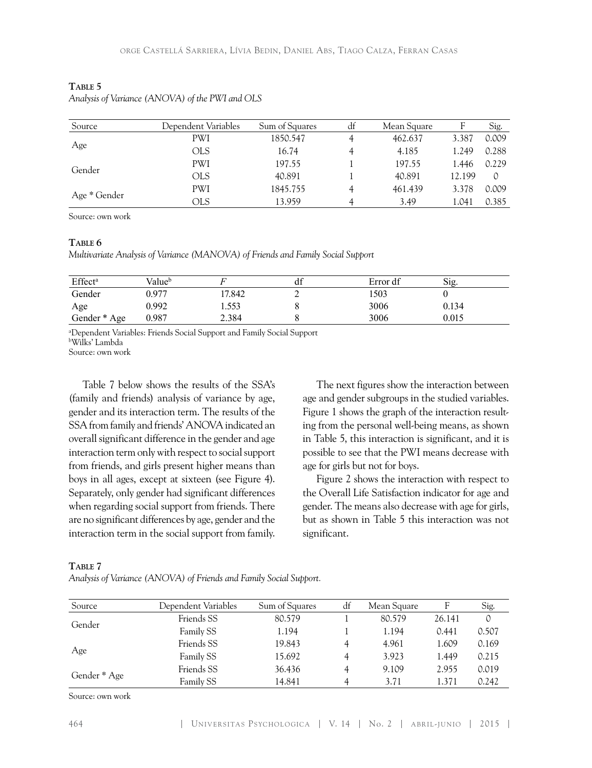| Source       | Dependent Variables | Sum of Squares | df | Mean Square |        | Sig.     |
|--------------|---------------------|----------------|----|-------------|--------|----------|
|              | <b>PWI</b>          | 1850.547       | 4  | 462.637     | 3.387  | 0.009    |
| Age          | OLS                 | 16.74          | 4  | 4.185       | 1.249  | 0.288    |
|              | <b>PWI</b>          | 197.55         |    | 197.55      | 1.446  | 0.229    |
| Gender       | OLS                 | 40.891         |    | 40.891      | 12.199 | $\Omega$ |
|              | <b>PWI</b>          | 1845.755       | 4  | 461.439     | 3.378  | 0.009    |
| Age * Gender | OLS                 | 13.959         | 4  | 3.49        | 1.041  | 0.385    |

# **Table 5**

*Analysis of Variance (ANOVA) of the PWI and OLS*

Source: own work

### **Table 6**

*Multivariate Analysis of Variance (MANOVA) of Friends and Family Social Support*

| Effect <sup>a</sup> | Valueb |        | αı | Error df | Sig.  |
|---------------------|--------|--------|----|----------|-------|
| Gender              | 0.977  | 17.842 | ∸  | 1503     |       |
| Age                 | ).992  | 1.553  |    | 3006     | 0.134 |
| Gender * Age        | 0.987  | 2.384  |    | 3006     | 0.015 |

a Dependent Variables: Friends Social Support and Family Social Support

b Wilks' Lambda

Source: own work

Table 7 below shows the results of the SSA's (family and friends) analysis of variance by age, gender and its interaction term. The results of the SSA from family and friends' ANOVA indicated an overall significant difference in the gender and age interaction term only with respect to social support from friends, and girls present higher means than boys in all ages, except at sixteen (see Figure 4). Separately, only gender had significant differences when regarding social support from friends. There are no significant differences by age, gender and the interaction term in the social support from family.

The next figures show the interaction between age and gender subgroups in the studied variables. Figure 1 shows the graph of the interaction resulting from the personal well-being means, as shown in Table 5, this interaction is significant, and it is possible to see that the PWI means decrease with age for girls but not for boys.

Figure 2 shows the interaction with respect to the Overall Life Satisfaction indicator for age and gender. The means also decrease with age for girls, but as shown in Table 5 this interaction was not significant.

#### **Table 7**

*Analysis of Variance (ANOVA) of Friends and Family Social Support.*

| Source       | Dependent Variables | Sum of Squares | df | Mean Square | F      | Sig.  |
|--------------|---------------------|----------------|----|-------------|--------|-------|
| Gender       | Friends SS          | 80.579         |    | 80.579      | 26.141 |       |
|              | Family SS           | 1.194          |    | 1.194       | 0.441  | 0.507 |
|              | Friends SS          | 19.843         | 4  | 4.961       | 1.609  | 0.169 |
| Age          | Family SS           | 15.692         | 4  | 3.923       | 1.449  | 0.215 |
|              | Friends SS          | 36.436         | 4  | 9.109       | 2.955  | 0.019 |
| Gender * Age | Family SS           | 14.841         | 4  | 3.71        | 1.371  | 0.242 |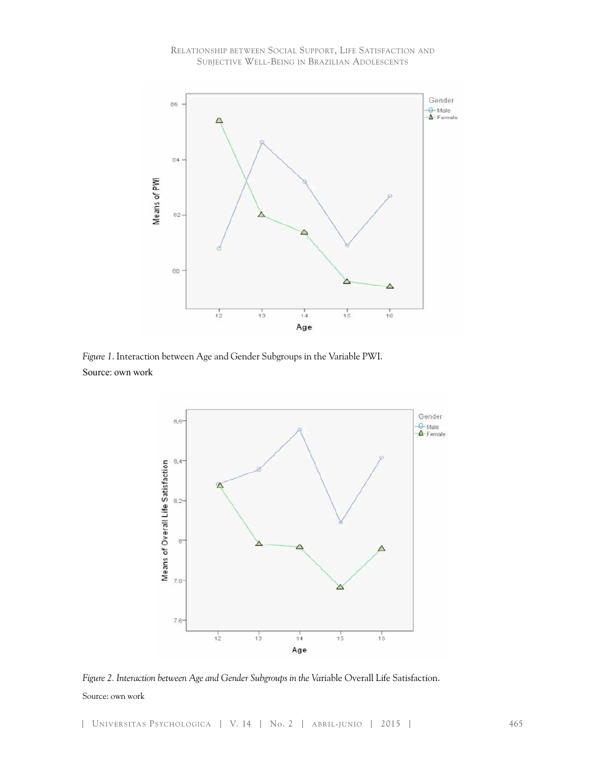

*Figure 1*. Interaction between Age and Gender Subgroups in the Variable PWI. Source: own work



*Figure 2. Interaction between Age and Gender Subgroups in the Va*riable Overall Life Satisfaction. Source: own work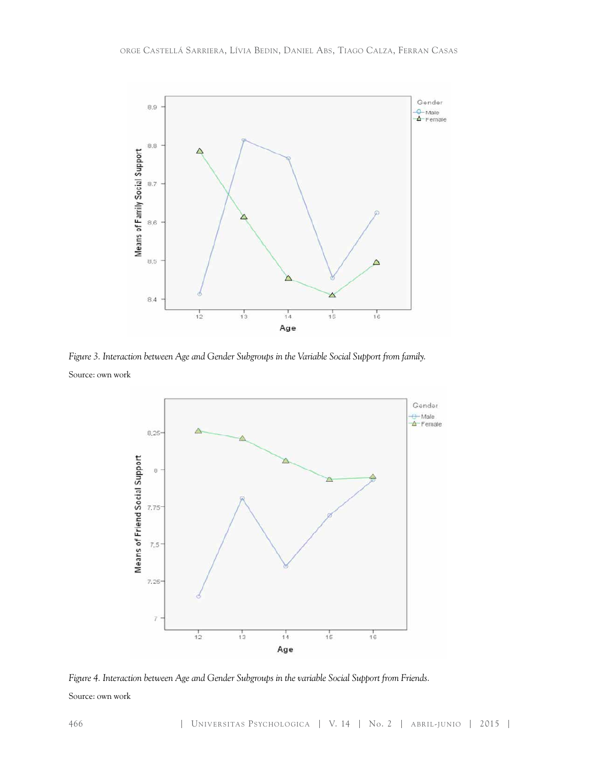

*Figure 3. Interaction between Age and Gender Subgroups in the Variable Social Support from family.* Source: own work



*Figure 4. Interaction between Age and Gender Subgroups in the variable Social Support from Friends.*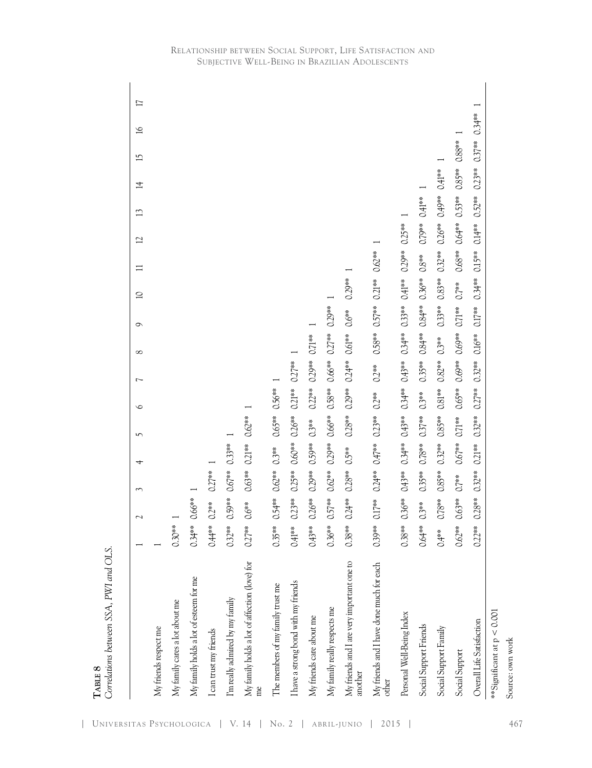|                                                       |           |           |           | 4         | S         | $\circ$   | ∼         | $\infty$  | $\circ$   | $\Omega$  |           | $\overline{1}$ | $\overline{13}$ | $\overline{4}$ | $\overline{1}$ | $\mathfrak{a}$ | $\overline{1}$ |
|-------------------------------------------------------|-----------|-----------|-----------|-----------|-----------|-----------|-----------|-----------|-----------|-----------|-----------|----------------|-----------------|----------------|----------------|----------------|----------------|
| My friends respect me                                 |           |           |           |           |           |           |           |           |           |           |           |                |                 |                |                |                |                |
| My family cares a lot about me                        | $0.30***$ |           |           |           |           |           |           |           |           |           |           |                |                 |                |                |                |                |
| My family holds a lot of esteem for me                | $0.34***$ | $3.66***$ |           |           |           |           |           |           |           |           |           |                |                 |                |                |                |                |
| I can trust my friends                                | 0.44**    | $2**$     | $0.27***$ |           |           |           |           |           |           |           |           |                |                 |                |                |                |                |
| I'm really admired by my family                       | $0.32***$ | 0.59**    | $0.67**$  | $0.33***$ |           |           |           |           |           |           |           |                |                 |                |                |                |                |
| My family holds a lot of affection (love) for         | $0.27***$ | ,6**      | $0.63***$ | $0.21***$ | $0.62**$  |           |           |           |           |           |           |                |                 |                |                |                |                |
| The members of my family trust me                     | $0.35***$ | $.54***$  | $0.62**$  | $0.3***$  | $0.65**$  | $0.56***$ |           |           |           |           |           |                |                 |                |                |                |                |
| I have a strong bond with my friends                  | 0.41**    | $0.23**$  | $0.25**$  | $0.60***$ | $0.26***$ | $0.21***$ | $0.27***$ |           |           |           |           |                |                 |                |                |                |                |
| My friends care about me                              | $0.43**$  | $0.26***$ | $0.29**$  | $0.59***$ | $0.3**$   | $0.22***$ | $0.29***$ | $0.71***$ |           |           |           |                |                 |                |                |                |                |
| My family really respects me                          | $0.36**$  | $.57***$  | $0.62***$ | $0.29***$ | $0.66***$ | $0.58***$ | 0.66**    | $0.27***$ | $0.29***$ |           |           |                |                 |                |                |                |                |
| My friends and I are very important one to<br>another | $0.38***$ | $0.24***$ | $0.28***$ | $0.5**$   | $0.28***$ | 0.29**    | $0.24***$ | $0.61**$  | $0.6**$   | $0.29**$  |           |                |                 |                |                |                |                |
| My friends and I have done much for each<br>other     | $0.39***$ | $0.17***$ | $0.24**$  | $0.47***$ | $0.23***$ | $0.2***$  | $0.2***$  | $0.58***$ | $0.57***$ | $0.21**$  | $0.62***$ |                |                 |                |                |                |                |
| Personal Well-Being Index                             | $0.38***$ | $0.36***$ | $0.43***$ | $0.34***$ | 0.43**    | $0.34***$ | $0.43***$ | $0.34***$ | $0.33***$ | 0.41**    | $0.29***$ | $0.25***$      |                 |                |                |                |                |
| Social Support Friends                                | $0.64**$  | $.3**$    | $0.35***$ | $0.78***$ | $0.37***$ | $0.3**$   | $0.35***$ | $0.84***$ | $0.84***$ | $0.36***$ | $0.8**$   | 0.79**         | 0.41**          |                |                |                |                |
| Social Support Family                                 | $0.4**$   | $0.78**$  | $0.85**$  | $0.32***$ | $0.85***$ | $0.81***$ | $0.82***$ | $0.3**$   | $0.33***$ | $0.83**$  | $0.32***$ | $0.26***$      | 0.49**          | $0.41**$       |                |                |                |
| Social Support                                        | $0.62**$  | $0.63**$  | $0.7**$   | $0.67***$ | $0.71***$ | $0.65***$ | 0.69**    | $0.69***$ | $0.71***$ | $0.7***$  | $0.68***$ | $0.64***$      | $0.53***$       | $0.85***$      | 0.88**         |                |                |
| Overall Life Satisfaction                             | $0.22**$  | $0.28**$  | $0.32***$ | $0.21***$ | $0.32***$ | $0.27***$ | $0.32***$ | $0.16***$ | $0.17***$ | $0.34***$ | $0.15***$ | $0.14***$      | $0.52***$       | $0.23**$       | $0.37**$       | 0.34 **        |                |
| **Significant at p < 0.001                            |           |           |           |           |           |           |           |           |           |           |           |                |                 |                |                |                |                |

#### Relationship between Social Support, Life Satisfaction and Subjective Well-Being in Brazilian Adolescents

**T a ble 8** *Correlations between SSA, PWI and OLS.*

Source: own work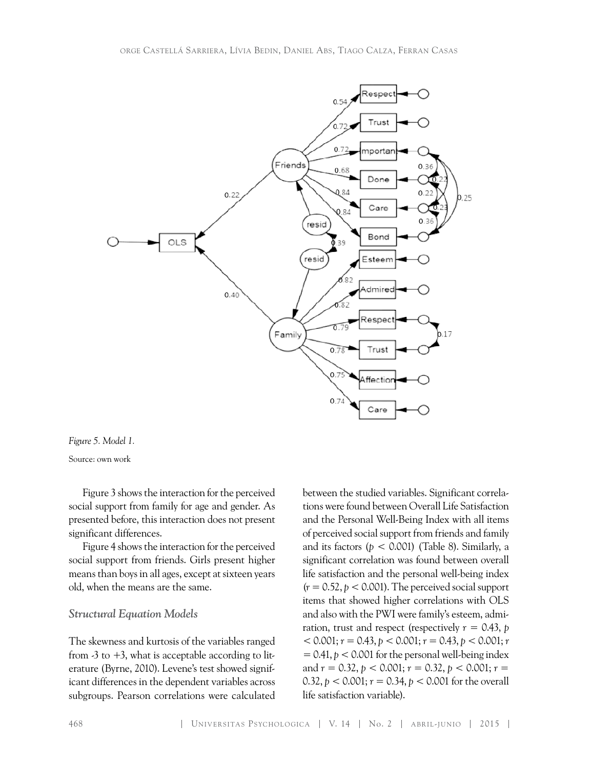



Source: own work

Figure 3 shows the interaction for the perceived social support from family for age and gender. As presented before, this interaction does not present significant differences.

Figure 4 shows the interaction for the perceived social support from friends. Girls present higher means than boys in all ages, except at sixteen years old, when the means are the same.

## *Structural Equation Models*

The skewness and kurtosis of the variables ranged from  $-3$  to  $+3$ , what is acceptable according to literature (Byrne, 2010). Levene's test showed significant differences in the dependent variables across subgroups. Pearson correlations were calculated

between the studied variables. Significant correlations were found between Overall Life Satisfaction and the Personal Well-Being Index with all items of perceived social support from friends and family and its factors ( $p < 0.001$ ) (Table 8). Similarly, a significant correlation was found between overall life satisfaction and the personal well-being index  $(r = 0.52, p < 0.001)$ . The perceived social support items that showed higher correlations with OLS and also with the PWI were family's esteem, admiration, trust and respect (respectively  $r = 0.43$ , *p*  $< 0.001$ ;  $r = 0.43$ ,  $p < 0.001$ ;  $r = 0.43$ ,  $p < 0.001$ ; *r*  $= 0.41, p < 0.001$  for the personal well-being index and  $r = 0.32$ ,  $p < 0.001$ ;  $r = 0.32$ ,  $p < 0.001$ ;  $r =$ 0.32,  $p < 0.001$ ;  $r = 0.34$ ,  $p < 0.001$  for the overall life satisfaction variable).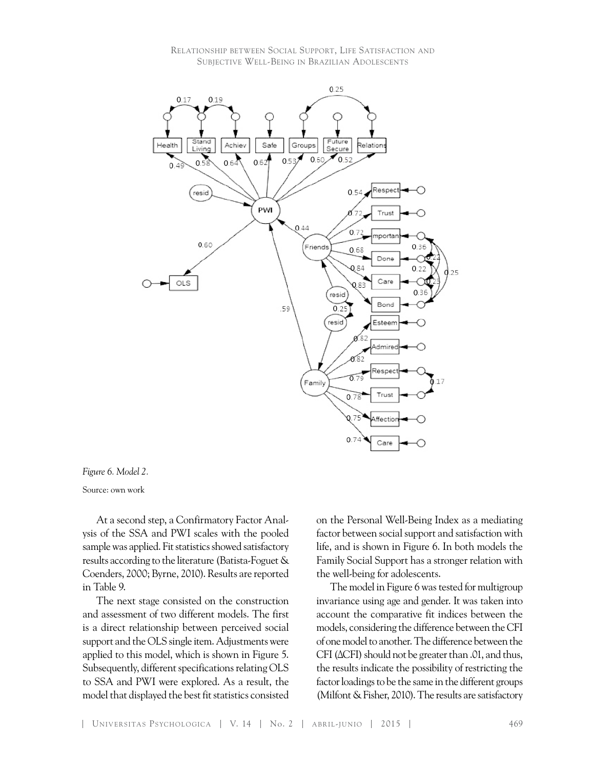Relationship between Social Support, Life Satisfaction and Subjective Well-Being in Brazilian Adolescents





Source: own work

At a second step, a Confirmatory Factor Analysis of the SSA and PWI scales with the pooled sample was applied. Fit statistics showed satisfactory results according to the literature (Batista-Foguet & Coenders, 2000; Byrne, 2010). Results are reported in Table 9.

The next stage consisted on the construction and assessment of two different models. The first is a direct relationship between perceived social support and the OLS single item. Adjustments were applied to this model, which is shown in Figure 5. Subsequently, different specifications relating OLS to SSA and PWI were explored. As a result, the model that displayed the best fit statistics consisted

on the Personal Well-Being Index as a mediating factor between social support and satisfaction with life, and is shown in Figure 6. In both models the Family Social Support has a stronger relation with the well-being for adolescents.

The model in Figure 6 was tested for multigroup invariance using age and gender. It was taken into account the comparative fit indices between the models, considering the difference between the CFI of one model to another. The difference between the CFI (ΔCFI) should not be greater than .01, and thus, the results indicate the possibility of restricting the factor loadings to be the same in the different groups (Milfont & Fisher, 2010). The results are satisfactory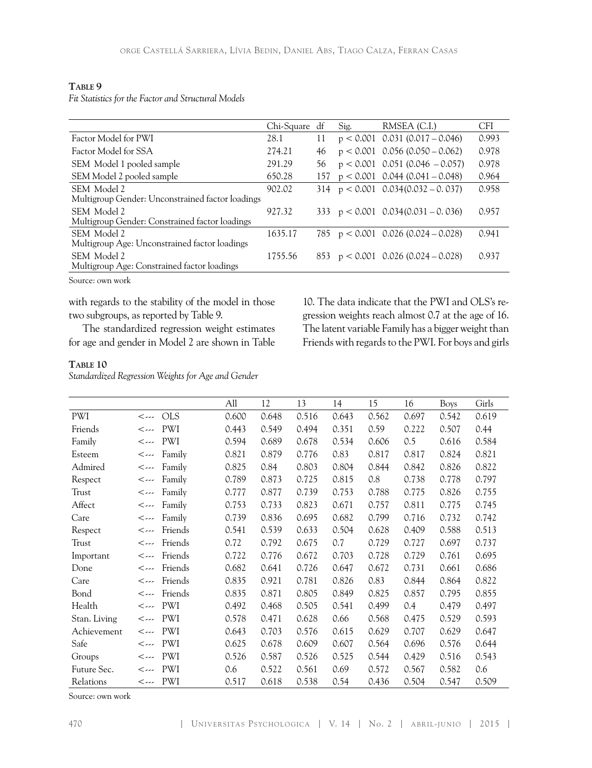## **Table 9**

*Fit Statistics for the Factor and Structural Models*

|                                                                 | Chi-Square | df  | Sig. | RMSEA (C.I.)                                       | <b>CFI</b> |
|-----------------------------------------------------------------|------------|-----|------|----------------------------------------------------|------------|
| Factor Model for PWI                                            | 28.1       | 11  |      | $p < 0.001$ 0.031 (0.017 - 0.046)                  | 0.993      |
| Factor Model for SSA                                            | 274.21     | 46  |      | $p < 0.001$ 0.056 (0.050 - 0.062)                  | 0.978      |
| SEM Model 1 pooled sample                                       | 291.29     | 56  |      | $p < 0.001$ 0.051 (0.046 - 0.057)                  | 0.978      |
| SEM Model 2 pooled sample                                       | 650.28     | 157 |      | $p < 0.001$ 0.044 (0.041 - 0.048)                  | 0.964      |
| SEM Model 2<br>Multigroup Gender: Unconstrained factor loadings | 902.02     |     |      | $314 \text{ p} < 0.001 \quad 0.034(0.032 - 0.037)$ | 0.958      |
| SEM Model 2<br>Multigroup Gender: Constrained factor loadings   | 927.32     |     |      | 333 $p < 0.001$ 0.034(0.031 - 0.036)               | 0.957      |
| SEM Model 2<br>Multigroup Age: Unconstrained factor loadings    | 1635.17    |     |      | 785 $p < 0.001$ 0.026 (0.024 - 0.028)              | 0.941      |
| SEM Model 2<br>Multigroup Age: Constrained factor loadings      | 1755.56    |     |      | 853 $p < 0.001$ 0.026 (0.024 - 0.028)              | 0.937      |

Source: own work

with regards to the stability of the model in those two subgroups, as reported by Table 9.

The standardized regression weight estimates for age and gender in Model 2 are shown in Table

## **Table 10**

*Standardized Regression Weights for Age and Gender*

10. The data indicate that the PWI and OLS's regression weights reach almost 0.7 at the age of 16. The latent variable Family has a bigger weight than Friends with regards to the PWI. For boys and girls

|              |              |                  | All   | 12    | 13    | 14    | 15    | 16    | Boys  | Girls |
|--------------|--------------|------------------|-------|-------|-------|-------|-------|-------|-------|-------|
| PWI          |              | $\leftarrow$ OLS | 0.600 | 0.648 | 0.516 | 0.643 | 0.562 | 0.697 | 0.542 | 0.619 |
| Friends      | $\leftarrow$ | <b>PWI</b>       | 0.443 | 0.549 | 0.494 | 0.351 | 0.59  | 0.222 | 0.507 | 0.44  |
| Family       | $\leftarrow$ | <b>PWI</b>       | 0.594 | 0.689 | 0.678 | 0.534 | 0.606 | 0.5   | 0.616 | 0.584 |
| Esteem       | $\leftarrow$ | Family           | 0.821 | 0.879 | 0.776 | 0.83  | 0.817 | 0.817 | 0.824 | 0.821 |
| Admired      | $\leftarrow$ | Family           | 0.825 | 0.84  | 0.803 | 0.804 | 0.844 | 0.842 | 0.826 | 0.822 |
| Respect      | $\leftarrow$ | Family           | 0.789 | 0.873 | 0.725 | 0.815 | 0.8   | 0.738 | 0.778 | 0.797 |
| Trust        | $\leftarrow$ | Family           | 0.777 | 0.877 | 0.739 | 0.753 | 0.788 | 0.775 | 0.826 | 0.755 |
| Affect       | $\leftarrow$ | Family           | 0.753 | 0.733 | 0.823 | 0.671 | 0.757 | 0.811 | 0.775 | 0.745 |
| Care         | $\leftarrow$ | Family           | 0.739 | 0.836 | 0.695 | 0.682 | 0.799 | 0.716 | 0.732 | 0.742 |
| Respect      | $\leftarrow$ | Friends          | 0.541 | 0.539 | 0.633 | 0.504 | 0.628 | 0.409 | 0.588 | 0.513 |
| Trust        | <            | Friends          | 0.72  | 0.792 | 0.675 | 0.7   | 0.729 | 0.727 | 0.697 | 0.737 |
| Important    | $\leftarrow$ | Friends          | 0.722 | 0.776 | 0.672 | 0.703 | 0.728 | 0.729 | 0.761 | 0.695 |
| Done         | $\leftarrow$ | Friends          | 0.682 | 0.641 | 0.726 | 0.647 | 0.672 | 0.731 | 0.661 | 0.686 |
| Care         | $\leftarrow$ | Friends          | 0.835 | 0.921 | 0.781 | 0.826 | 0.83  | 0.844 | 0.864 | 0.822 |
| Bond         | $\leftarrow$ | Friends          | 0.835 | 0.871 | 0.805 | 0.849 | 0.825 | 0.857 | 0.795 | 0.855 |
| Health       | $\leftarrow$ | <b>PWI</b>       | 0.492 | 0.468 | 0.505 | 0.541 | 0.499 | 0.4   | 0.479 | 0.497 |
| Stan. Living | $\leftarrow$ | PWI              | 0.578 | 0.471 | 0.628 | 0.66  | 0.568 | 0.475 | 0.529 | 0.593 |
| Achievement  | $\leftarrow$ | PWI              | 0.643 | 0.703 | 0.576 | 0.615 | 0.629 | 0.707 | 0.629 | 0.647 |
| Safe         | <            | PWI              | 0.625 | 0.678 | 0.609 | 0.607 | 0.564 | 0.696 | 0.576 | 0.644 |
| Groups       | <            | PWI              | 0.526 | 0.587 | 0.526 | 0.525 | 0.544 | 0.429 | 0.516 | 0.543 |
| Future Sec.  | $\leftarrow$ | <b>PWI</b>       | 0.6   | 0.522 | 0.561 | 0.69  | 0.572 | 0.567 | 0.582 | 0.6   |
| Relations    |              | $\leftarrow$ PWI | 0.517 | 0.618 | 0.538 | 0.54  | 0.436 | 0.504 | 0.547 | 0.509 |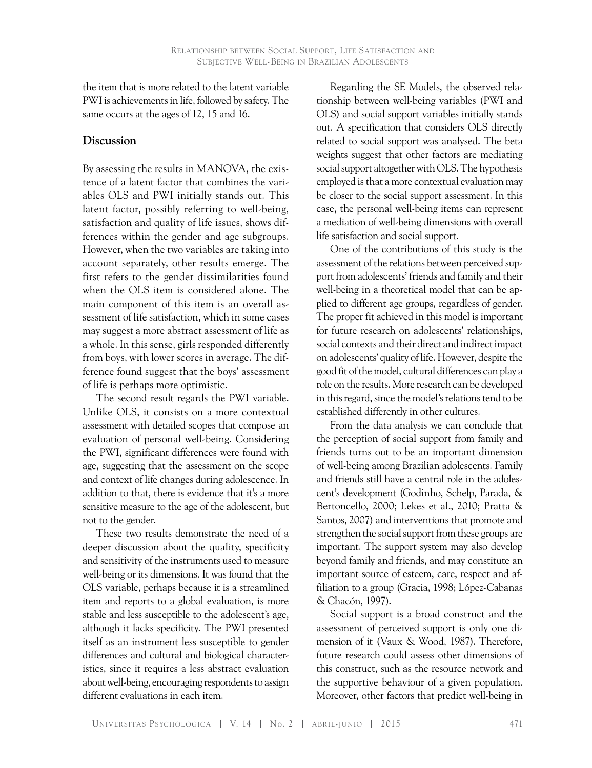the item that is more related to the latent variable PWI is achievements in life, followed by safety. The same occurs at the ages of 12, 15 and 16.

# **Discussion**

By assessing the results in MANOVA, the existence of a latent factor that combines the variables OLS and PWI initially stands out. This latent factor, possibly referring to well-being, satisfaction and quality of life issues, shows differences within the gender and age subgroups. However, when the two variables are taking into account separately, other results emerge. The first refers to the gender dissimilarities found when the OLS item is considered alone. The main component of this item is an overall assessment of life satisfaction, which in some cases may suggest a more abstract assessment of life as a whole. In this sense, girls responded differently from boys, with lower scores in average. The difference found suggest that the boys' assessment of life is perhaps more optimistic.

The second result regards the PWI variable. Unlike OLS, it consists on a more contextual assessment with detailed scopes that compose an evaluation of personal well-being. Considering the PWI, significant differences were found with age, suggesting that the assessment on the scope and context of life changes during adolescence. In addition to that, there is evidence that it's a more sensitive measure to the age of the adolescent, but not to the gender.

These two results demonstrate the need of a deeper discussion about the quality, specificity and sensitivity of the instruments used to measure well-being or its dimensions. It was found that the OLS variable, perhaps because it is a streamlined item and reports to a global evaluation, is more stable and less susceptible to the adolescent's age, although it lacks specificity. The PWI presented itself as an instrument less susceptible to gender differences and cultural and biological characteristics, since it requires a less abstract evaluation about well-being, encouraging respondents to assign different evaluations in each item.

Regarding the SE Models, the observed relationship between well-being variables (PWI and OLS) and social support variables initially stands out. A specification that considers OLS directly related to social support was analysed. The beta weights suggest that other factors are mediating social support altogether with OLS. The hypothesis employed is that a more contextual evaluation may be closer to the social support assessment. In this case, the personal well-being items can represent a mediation of well-being dimensions with overall life satisfaction and social support.

One of the contributions of this study is the assessment of the relations between perceived support from adolescents' friends and family and their well-being in a theoretical model that can be applied to different age groups, regardless of gender. The proper fit achieved in this model is important for future research on adolescents' relationships, social contexts and their direct and indirect impact on adolescents' quality of life. However, despite the good fit of the model, cultural differences can play a role on the results. More research can be developed in this regard, since the model's relations tend to be established differently in other cultures.

From the data analysis we can conclude that the perception of social support from family and friends turns out to be an important dimension of well-being among Brazilian adolescents. Family and friends still have a central role in the adolescent's development (Godinho, Schelp, Parada, & Bertoncello, 2000; Lekes et al., 2010; Pratta & Santos, 2007) and interventions that promote and strengthen the social support from these groups are important. The support system may also develop beyond family and friends, and may constitute an important source of esteem, care, respect and affiliation to a group (Gracia, 1998; López-Cabanas & Chacón, 1997).

Social support is a broad construct and the assessment of perceived support is only one dimension of it (Vaux & Wood, 1987). Therefore, future research could assess other dimensions of this construct, such as the resource network and the supportive behaviour of a given population. Moreover, other factors that predict well-being in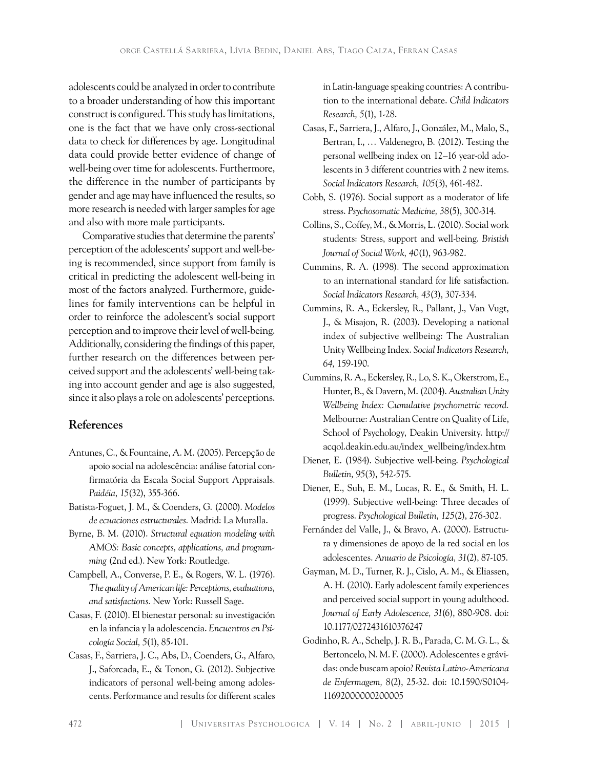adolescents could be analyzed in order to contribute to a broader understanding of how this important construct is configured. This study has limitations, one is the fact that we have only cross-sectional data to check for differences by age. Longitudinal data could provide better evidence of change of well-being over time for adolescents. Furthermore, the difference in the number of participants by gender and age may have influenced the results, so more research is needed with larger samples for age and also with more male participants.

Comparative studies that determine the parents' perception of the adolescents' support and well-being is recommended, since support from family is critical in predicting the adolescent well-being in most of the factors analyzed. Furthermore, guidelines for family interventions can be helpful in order to reinforce the adolescent's social support perception and to improve their level of well-being. Additionally, considering the findings of this paper, further research on the differences between perceived support and the adolescents' well-being taking into account gender and age is also suggested, since it also plays a role on adolescents' perceptions.

# **References**

- Antunes, C., & Fountaine, A. M. (2005). Percepção de apoio social na adolescência: análise fatorial confirmatória da Escala Social Support Appraisals. *Paidéia, 15*(32), 355-366.
- Batista-Foguet, J. M., & Coenders, G. (2000). *Modelos de ecuaciones estructurales.* Madrid: La Muralla.
- Byrne, B. M. (2010). *Structural equation modeling with AMOS: Basic concepts, applications, and programming* (2nd ed.). New York: Routledge.
- Campbell, A., Converse, P. E., & Rogers, W. L. (1976). *The quality of American life: Perceptions, evaluations, and satisfactions.* New York: Russell Sage.
- Casas, F. (2010). El bienestar personal: su investigación en la infancia y la adolescencia. *Encuentros en Psicología Social, 5*(1), 85-101.
- Casas, F., Sarriera, J. C., Abs, D., Coenders, G., Alfaro, J., Saforcada, E., & Tonon, G. (2012). Subjective indicators of personal well-being among adolescents. Performance and results for different scales

in Latin-language speaking countries: A contribution to the international debate. *Child Indicators Research, 5*(1), 1-28.

- Casas, F., Sarriera, J., Alfaro, J., González, M., Malo, S., Bertran, I., … Valdenegro, B. (2012). Testing the personal wellbeing index on 12–16 year-old adolescents in 3 different countries with 2 new items. *Social Indicators Research, 105*(3), 461-482.
- Cobb, S. (1976). Social support as a moderator of life stress. *Psychosomatic Medicine, 38*(5), 300-314.
- Collins, S., Coffey, M., & Morris, L. (2010). Social work students: Stress, support and well-being. *Bristish Journal of Social Work, 40*(1), 963-982.
- Cummins, R. A. (1998). The second approximation to an international standard for life satisfaction. *Social Indicators Research, 43*(3), 307-334.
- Cummins, R. A., Eckersley, R., Pallant, J., Van Vugt, J., & Misajon, R. (2003). Developing a national index of subjective wellbeing: The Australian Unity Wellbeing Index. *Social Indicators Research, 64,* 159-190.
- Cummins, R. A., Eckersley, R., Lo, S. K., Okerstrom, E., Hunter, B., & Davern, M. (2004). *Australian Unity Wellbeing Index: Cumulative psychometric record.* Melbourne: Australian Centre on Quality of Life, School of Psychology, Deakin University. [http://](http://acqol.deakin.edu.au/index_wellbeing/index.htm) [acqol.deakin.edu.au/index\\_wellbeing/index.htm](http://acqol.deakin.edu.au/index_wellbeing/index.htm)
- Diener, E. (1984). Subjective well-being. *Psychological Bulletin, 95*(3), 542-575.
- Diener, E., Suh, E. M., Lucas, R. E., & Smith, H. L. (1999). Subjective well-being: Three decades of progress. *Psychological Bulletin, 125*(2), 276-302.
- Fernández del Valle, J., & Bravo, A. (2000). Estructura y dimensiones de apoyo de la red social en los adolescentes. *Anuario de Psicología, 31*(2), 87-105.
- Gayman, M. D., Turner, R. J., Cislo, A. M., & Eliassen, A. H. (2010). Early adolescent family experiences and perceived social support in young adulthood. *Journal of Early Adolescence, 31*(6), 880-908. doi: 10.1177/0272431610376247
- Godinho, R. A., Schelp, J. R. B., Parada, C. M. G. L., & Bertoncelo, N. M. F. (2000). Adolescentes e grávidas: onde buscam apoio? *Revista Latino-Americana de Enfermagem, 8*(2), 25-32. doi: 10.1590/S0104- 11692000000200005